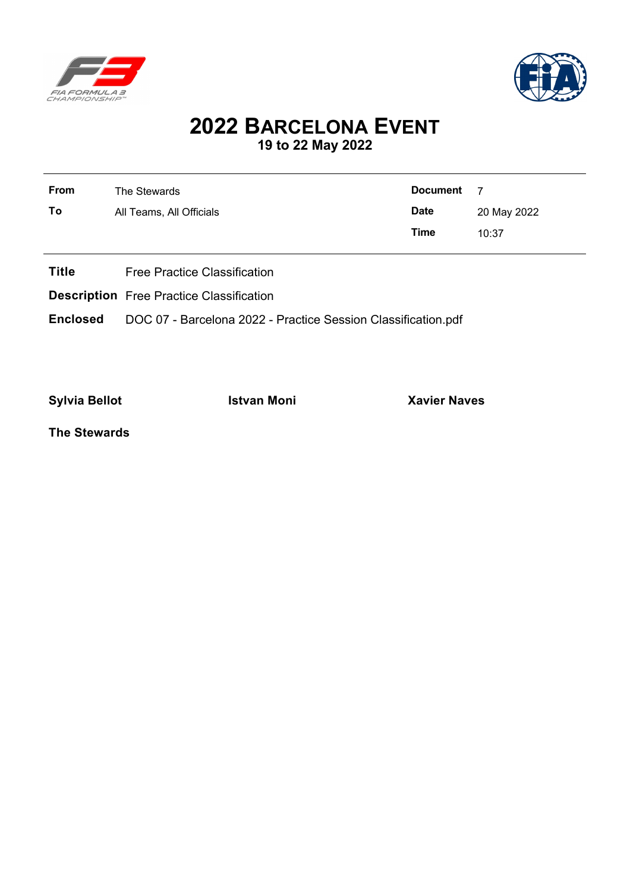



## **2022 BARCELONA EVENT 19 to 22 May 2022**

| <b>From</b>  | The Stewards                        | <b>Document</b> | -7          |  |
|--------------|-------------------------------------|-----------------|-------------|--|
| To           | All Teams, All Officials            | <b>Date</b>     | 20 May 2022 |  |
|              |                                     | Time            | 10:37       |  |
|              |                                     |                 |             |  |
| <b>Title</b> | <b>Free Practice Classification</b> |                 |             |  |

**Description** Free Practice Classification

**Enclosed** DOC 07 - Barcelona 2022 - Practice Session Classification.pdf

**Sylvia Bellot Istvan Moni Xavier Naves**

**The Stewards**